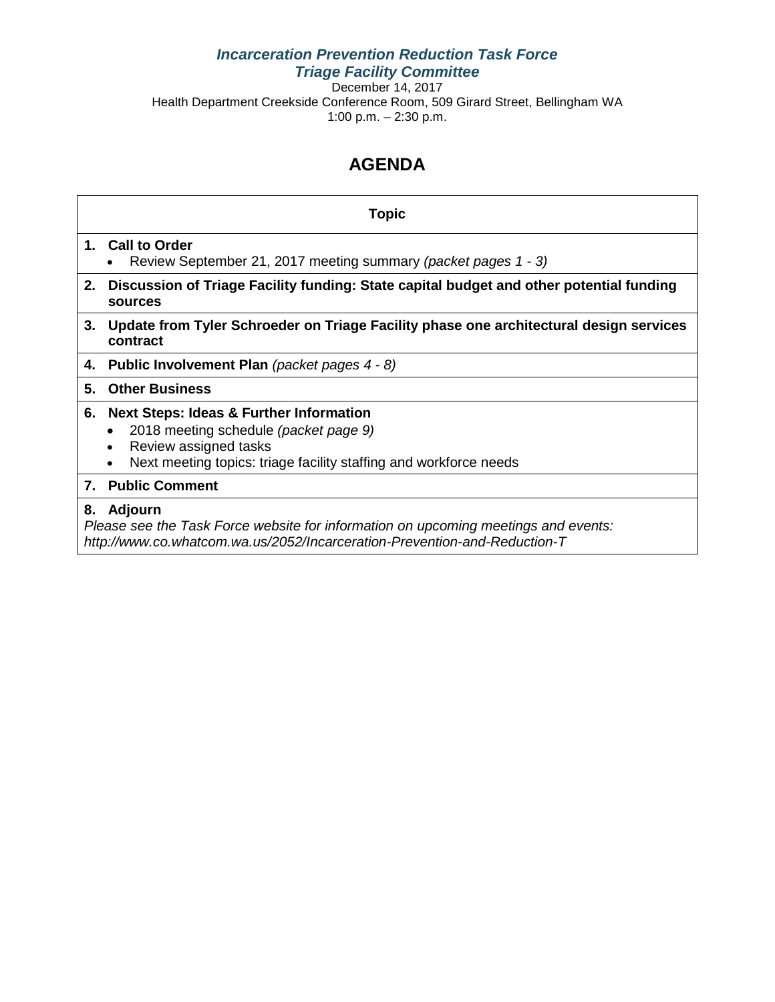#### *Incarceration Prevention Reduction Task Force Triage Facility Committee*

December 14, 2017 Health Department Creekside Conference Room, 509 Girard Street, Bellingham WA 1:00 p.m. – 2:30 p.m.

## **AGENDA**

|    | Topic                                                                                                                                                                                               |
|----|-----------------------------------------------------------------------------------------------------------------------------------------------------------------------------------------------------|
|    | 1. Call to Order<br>Review September 21, 2017 meeting summary (packet pages 1 - 3)<br>$\bullet$                                                                                                     |
|    | 2. Discussion of Triage Facility funding: State capital budget and other potential funding<br>sources                                                                                               |
| 3. | Update from Tyler Schroeder on Triage Facility phase one architectural design services<br>contract                                                                                                  |
|    | 4. Public Involvement Plan (packet pages 4 - 8)                                                                                                                                                     |
| 5. | <b>Other Business</b>                                                                                                                                                                               |
|    | 6. Next Steps: Ideas & Further Information<br>2018 meeting schedule (packet page 9)<br>$\bullet$<br>Review assigned tasks<br>Next meeting topics: triage facility staffing and workforce needs<br>٠ |
|    | 7. Public Comment                                                                                                                                                                                   |
| 8. | Adjourn<br>Plasse see the Task Ferre website for information on uncoming meetings and events:                                                                                                       |

*Please see the Task Force website for information on upcoming meetings and events: http://www.co.whatcom.wa.us/2052/Incarceration-Prevention-and-Reduction-T*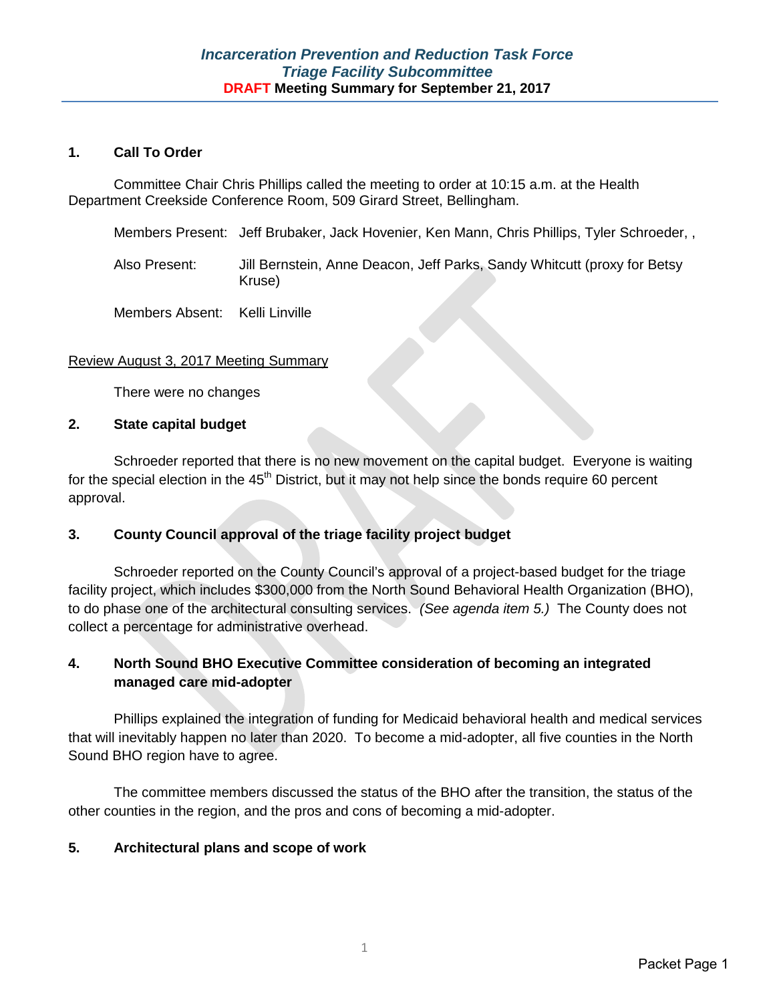#### **1. Call To Order**

Committee Chair Chris Phillips called the meeting to order at 10:15 a.m. at the Health Department Creekside Conference Room, 509 Girard Street, Bellingham.

Members Present: Jeff Brubaker, Jack Hovenier, Ken Mann, Chris Phillips, Tyler Schroeder, ,

Also Present: Jill Bernstein, Anne Deacon, Jeff Parks, Sandy Whitcutt (proxy for Betsy Kruse)

Members Absent: Kelli Linville

#### Review August 3, 2017 Meeting Summary

There were no changes

#### **2. State capital budget**

Schroeder reported that there is no new movement on the capital budget. Everyone is waiting for the special election in the  $45<sup>th</sup>$  District, but it may not help since the bonds require 60 percent approval.

#### **3. County Council approval of the triage facility project budget**

Schroeder reported on the County Council's approval of a project-based budget for the triage facility project, which includes \$300,000 from the North Sound Behavioral Health Organization (BHO), to do phase one of the architectural consulting services. *(See agenda item 5.)* The County does not collect a percentage for administrative overhead.

#### **4. North Sound BHO Executive Committee consideration of becoming an integrated managed care mid-adopter**

Phillips explained the integration of funding for Medicaid behavioral health and medical services that will inevitably happen no later than 2020. To become a mid-adopter, all five counties in the North Sound BHO region have to agree.

The committee members discussed the status of the BHO after the transition, the status of the other counties in the region, and the pros and cons of becoming a mid-adopter.

#### **5. Architectural plans and scope of work**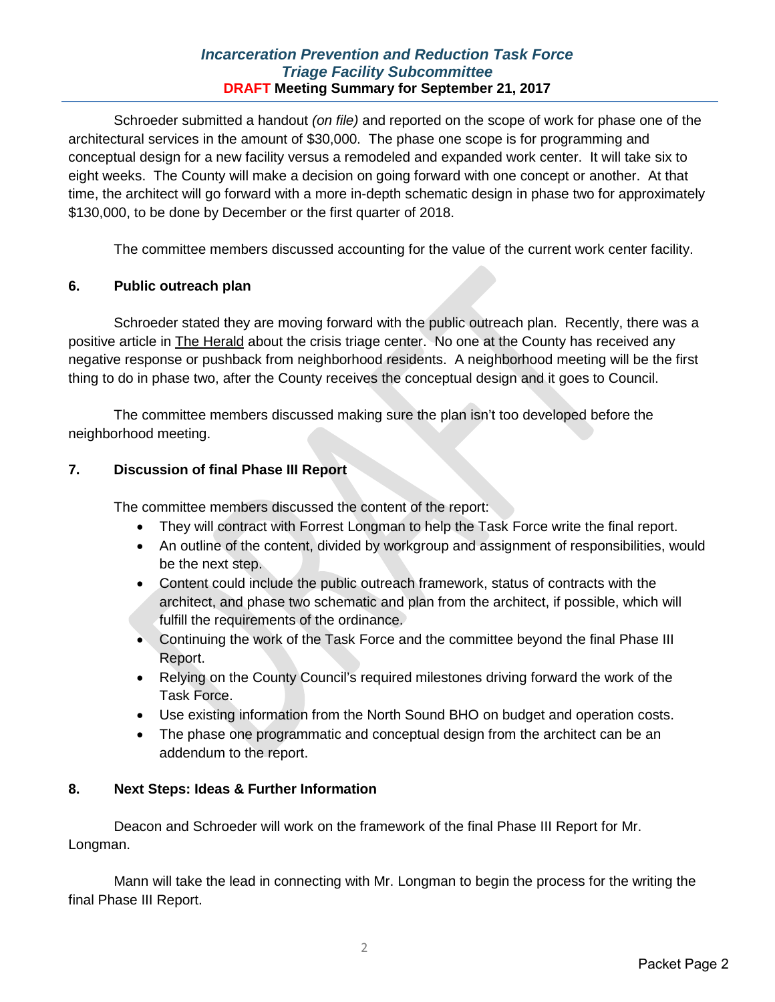#### *Incarceration Prevention and Reduction Task Force Triage Facility Subcommittee* **DRAFT Meeting Summary for September 21, 2017**

Schroeder submitted a handout *(on file)* and reported on the scope of work for phase one of the architectural services in the amount of \$30,000. The phase one scope is for programming and conceptual design for a new facility versus a remodeled and expanded work center. It will take six to eight weeks. The County will make a decision on going forward with one concept or another. At that time, the architect will go forward with a more in-depth schematic design in phase two for approximately \$130,000, to be done by December or the first quarter of 2018.

The committee members discussed accounting for the value of the current work center facility.

#### **6. Public outreach plan**

Schroeder stated they are moving forward with the public outreach plan. Recently, there was a positive article in The Herald about the crisis triage center. No one at the County has received any negative response or pushback from neighborhood residents. A neighborhood meeting will be the first thing to do in phase two, after the County receives the conceptual design and it goes to Council.

The committee members discussed making sure the plan isn't too developed before the neighborhood meeting.

#### **7. Discussion of final Phase III Report**

The committee members discussed the content of the report:

- They will contract with Forrest Longman to help the Task Force write the final report.
- An outline of the content, divided by workgroup and assignment of responsibilities, would be the next step.
- Content could include the public outreach framework, status of contracts with the architect, and phase two schematic and plan from the architect, if possible, which will fulfill the requirements of the ordinance.
- Continuing the work of the Task Force and the committee beyond the final Phase III Report.
- Relying on the County Council's required milestones driving forward the work of the Task Force.
- Use existing information from the North Sound BHO on budget and operation costs.
- The phase one programmatic and conceptual design from the architect can be an addendum to the report.

#### **8. Next Steps: Ideas & Further Information**

Deacon and Schroeder will work on the framework of the final Phase III Report for Mr. Longman.

Mann will take the lead in connecting with Mr. Longman to begin the process for the writing the final Phase III Report.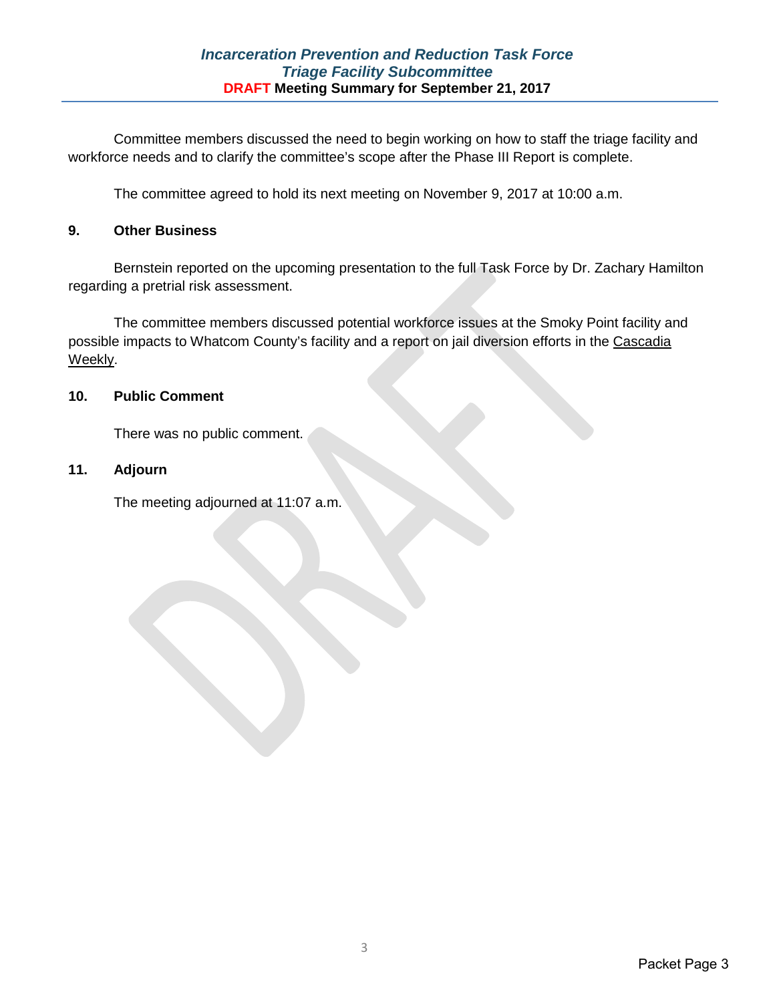Committee members discussed the need to begin working on how to staff the triage facility and workforce needs and to clarify the committee's scope after the Phase III Report is complete.

The committee agreed to hold its next meeting on November 9, 2017 at 10:00 a.m.

#### **9. Other Business**

Bernstein reported on the upcoming presentation to the full Task Force by Dr. Zachary Hamilton regarding a pretrial risk assessment.

The committee members discussed potential workforce issues at the Smoky Point facility and possible impacts to Whatcom County's facility and a report on jail diversion efforts in the Cascadia Weekly.

#### **10. Public Comment**

There was no public comment.

#### **11. Adjourn**

The meeting adjourned at 11:07 a.m.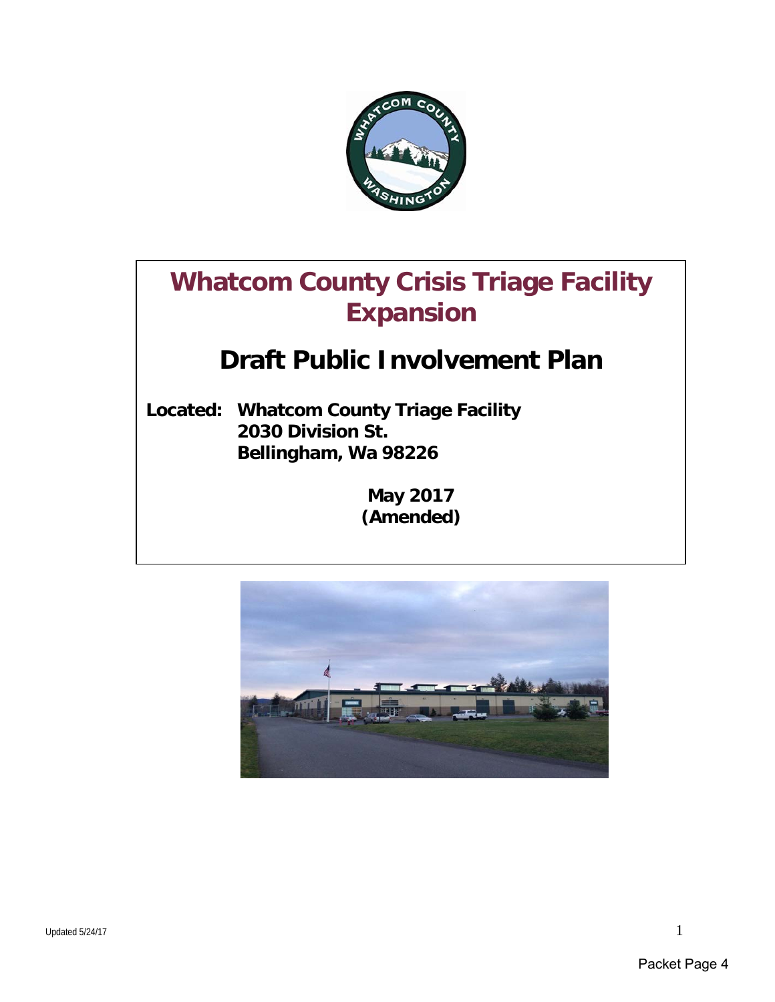

# **Whatcom County Crisis Triage Facility Expansion**

## **Draft Public Involvement Plan**

**Located: Whatcom County Triage Facility 2030 Division St. Bellingham, Wa 98226**

> **May 2017 (Amended)**

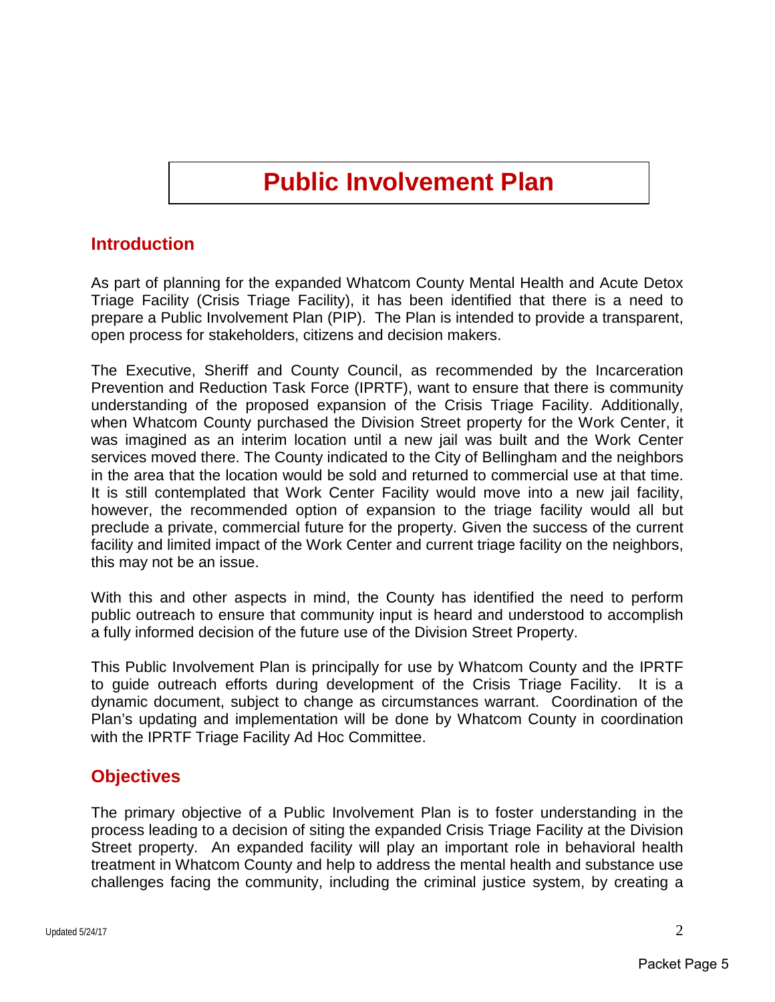## **Public Involvement Plan**

### **Introduction**

As part of planning for the expanded Whatcom County Mental Health and Acute Detox Triage Facility (Crisis Triage Facility), it has been identified that there is a need to prepare a Public Involvement Plan (PIP). The Plan is intended to provide a transparent, open process for stakeholders, citizens and decision makers.

The Executive, Sheriff and County Council, as recommended by the Incarceration Prevention and Reduction Task Force (IPRTF), want to ensure that there is community understanding of the proposed expansion of the Crisis Triage Facility. Additionally, when Whatcom County purchased the Division Street property for the Work Center, it was imagined as an interim location until a new jail was built and the Work Center services moved there. The County indicated to the City of Bellingham and the neighbors in the area that the location would be sold and returned to commercial use at that time. It is still contemplated that Work Center Facility would move into a new jail facility, however, the recommended option of expansion to the triage facility would all but preclude a private, commercial future for the property. Given the success of the current facility and limited impact of the Work Center and current triage facility on the neighbors, this may not be an issue.

With this and other aspects in mind, the County has identified the need to perform public outreach to ensure that community input is heard and understood to accomplish a fully informed decision of the future use of the Division Street Property.

This Public Involvement Plan is principally for use by Whatcom County and the IPRTF to guide outreach efforts during development of the Crisis Triage Facility. It is a dynamic document, subject to change as circumstances warrant. Coordination of the Plan's updating and implementation will be done by Whatcom County in coordination with the IPRTF Triage Facility Ad Hoc Committee.

### **Objectives**

The primary objective of a Public Involvement Plan is to foster understanding in the process leading to a decision of siting the expanded Crisis Triage Facility at the Division Street property. An expanded facility will play an important role in behavioral health treatment in Whatcom County and help to address the mental health and substance use challenges facing the community, including the criminal justice system, by creating a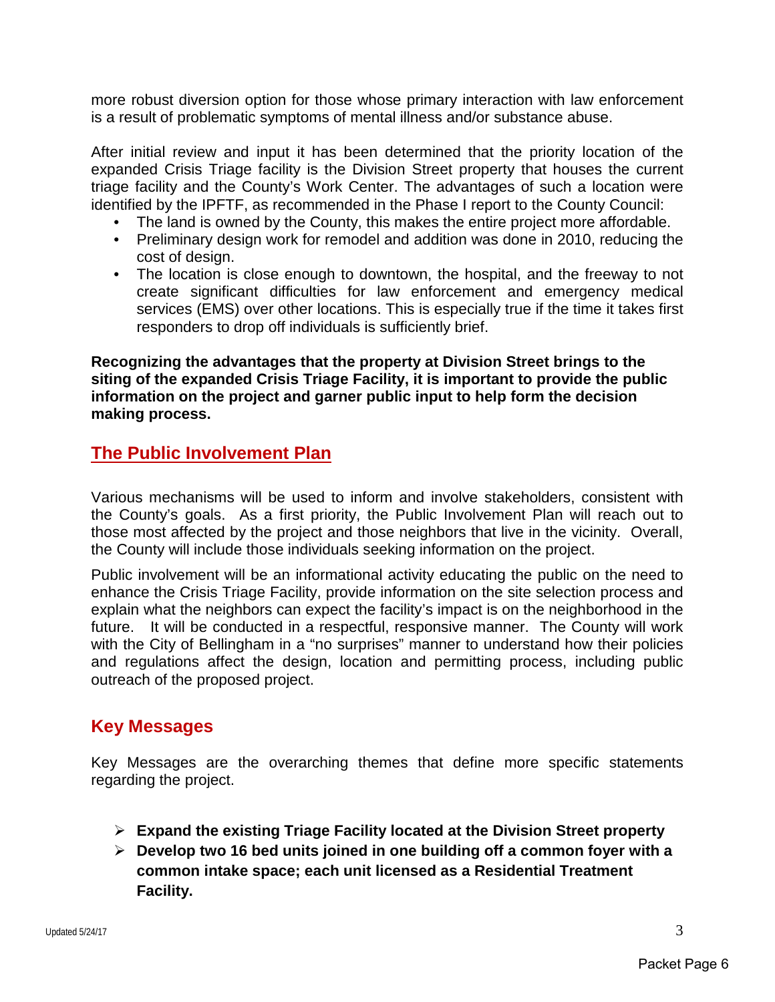more robust diversion option for those whose primary interaction with law enforcement is a result of problematic symptoms of mental illness and/or substance abuse.

After initial review and input it has been determined that the priority location of the expanded Crisis Triage facility is the Division Street property that houses the current triage facility and the County's Work Center. The advantages of such a location were identified by the IPFTF, as recommended in the Phase I report to the County Council:

- The land is owned by the County, this makes the entire project more affordable.
- Preliminary design work for remodel and addition was done in 2010, reducing the cost of design.
- The location is close enough to downtown, the hospital, and the freeway to not create significant difficulties for law enforcement and emergency medical services (EMS) over other locations. This is especially true if the time it takes first responders to drop off individuals is sufficiently brief.

**Recognizing the advantages that the property at Division Street brings to the siting of the expanded Crisis Triage Facility, it is important to provide the public information on the project and garner public input to help form the decision making process.** 

### **The Public Involvement Plan**

Various mechanisms will be used to inform and involve stakeholders, consistent with the County's goals. As a first priority, the Public Involvement Plan will reach out to those most affected by the project and those neighbors that live in the vicinity. Overall, the County will include those individuals seeking information on the project.

Public involvement will be an informational activity educating the public on the need to enhance the Crisis Triage Facility, provide information on the site selection process and explain what the neighbors can expect the facility's impact is on the neighborhood in the future. It will be conducted in a respectful, responsive manner. The County will work with the City of Bellingham in a "no surprises" manner to understand how their policies and regulations affect the design, location and permitting process, including public outreach of the proposed project.

## **Key Messages**

Key Messages are the overarching themes that define more specific statements regarding the project.

- **Expand the existing Triage Facility located at the Division Street property**
- **Develop two 16 bed units joined in one building off a common foyer with a common intake space; each unit licensed as a Residential Treatment Facility.**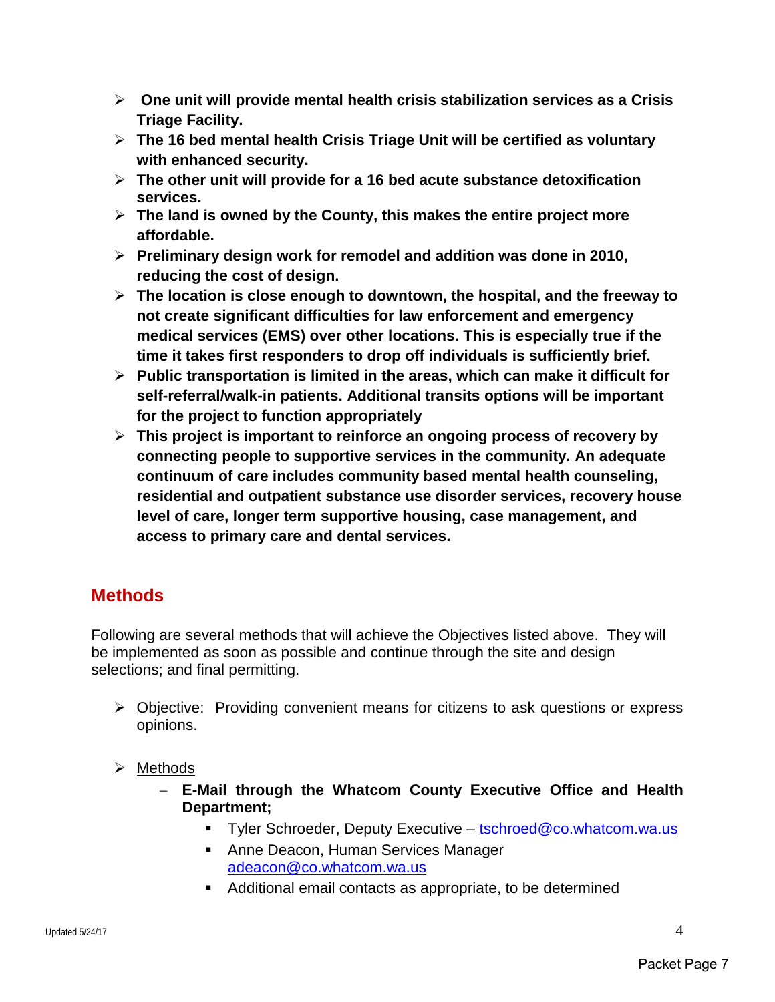- **One unit will provide mental health crisis stabilization services as a Crisis Triage Facility.**
- **The 16 bed mental health Crisis Triage Unit will be certified as voluntary with enhanced security.**
- **The other unit will provide for a 16 bed acute substance detoxification services.**
- **The land is owned by the County, this makes the entire project more affordable.**
- **Preliminary design work for remodel and addition was done in 2010, reducing the cost of design.**
- **The location is close enough to downtown, the hospital, and the freeway to not create significant difficulties for law enforcement and emergency medical services (EMS) over other locations. This is especially true if the time it takes first responders to drop off individuals is sufficiently brief.**
- **Public transportation is limited in the areas, which can make it difficult for self-referral/walk-in patients. Additional transits options will be important for the project to function appropriately**
- **This project is important to reinforce an ongoing process of recovery by connecting people to supportive services in the community. An adequate continuum of care includes community based mental health counseling, residential and outpatient substance use disorder services, recovery house level of care, longer term supportive housing, case management, and access to primary care and dental services.**

## **Methods**

Following are several methods that will achieve the Objectives listed above. They will be implemented as soon as possible and continue through the site and design selections; and final permitting.

- Objective: Providing convenient means for citizens to ask questions or express opinions.
- $\triangleright$  Methods
	- − **E-Mail through the Whatcom County Executive Office and Health Department;**
		- Tyler Schroeder, Deputy Executive – [tschroed@co.whatcom.wa.us](mailto:tschroed@co.whatcom.wa.us)
		- **Anne Deacon, Human Services Manager** [adeacon@co.whatcom.wa.us](mailto:adeacon@co.whatcom.wa.us)
		- Additional email contacts as appropriate, to be determined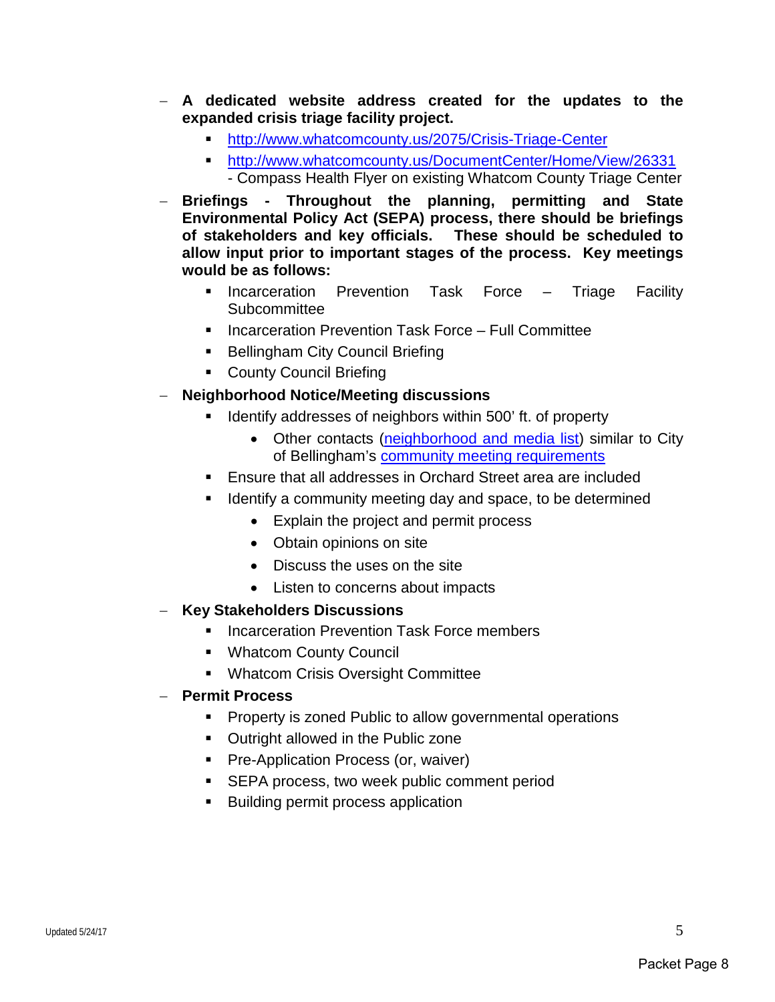- − **A dedicated website address created for the updates to the expanded crisis triage facility project.** 
	- <http://www.whatcomcounty.us/2075/Crisis-Triage-Center>
	- <http://www.whatcomcounty.us/DocumentCenter/Home/View/26331>
	- Compass Health Flyer on existing Whatcom County Triage Center
- − **Briefings Throughout the planning, permitting and State Environmental Policy Act (SEPA) process, there should be briefings of stakeholders and key officials. These should be scheduled to allow input prior to important stages of the process. Key meetings would be as follows:**
	- **Incarceration Prevention Task Force Triage Facility Subcommittee**
	- Incarceration Prevention Task Force Full Committee
	- **Bellingham City Council Briefing**
	- **County Council Briefing**
- − **Neighborhood Notice/Meeting discussions**
	- Identify addresses of neighbors within 500' ft. of property
		- Other contacts [\(neighborhood and media list\)](https://www.cob.org/documents/planning/applications-forms/nbrhd-media-notification-list.pdf) similar to City of Bellingham's [community meeting requirements](https://www.cob.org/documents/planning/applications-forms/neighborhood-meeting-instructions.pdf)
	- Ensure that all addresses in Orchard Street area are included
	- Identify a community meeting day and space, to be determined
		- Explain the project and permit process
		- Obtain opinions on site
		- Discuss the uses on the site
		- Listen to concerns about impacts
- − **Key Stakeholders Discussions**
	- Incarceration Prevention Task Force members
	- Whatcom County Council
	- **Whatcom Crisis Oversight Committee**
- − **Permit Process**
	- **Property is zoned Public to allow governmental operations**
	- **Outright allowed in the Public zone**
	- **Pre-Application Process (or, waiver)**
	- **SEPA process, two week public comment period**
	- **Building permit process application**